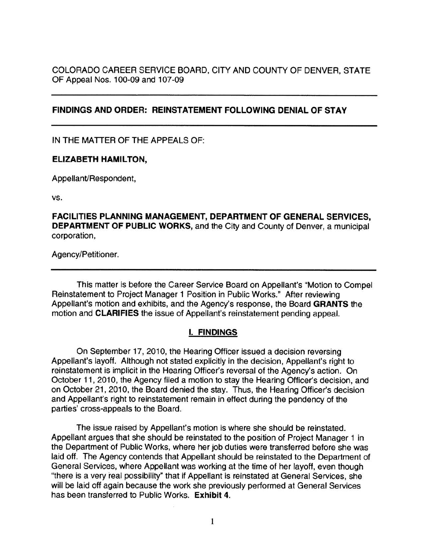COLORADO CAREER SERVICE BOARD, CITY AND COUNTY OF DENVER, STATE OF Appeal Nos. 100-09 and 107-09

## **FINDINGS AND ORDER: REINSTATEMENT FOLLOWING DENIAL OF STAY**

IN THE MATTER OF THE APPEALS OF:

#### **ELIZABETH HAMILTON,**

Appellant/Respondent,

vs.

**FACILITIES PLANNING MANAGEMENT, DEPARTMENT OF GENERAL SERVICES, DEPARTMENT OF PUBLIC WORKS,** and the City and County of Denver, a municipal corporation,

Agency/Petitioner.

This matter is before the Career Service Board on Appellant's "Motion to Compel Reinstatement to Project Manager 1 Position in Public Works." After reviewing Appellant's motion and exhibits, and the Agency's response, the Board **GRANTS** the motion and **CLARIFIES** the issue of Appellant's reinstatement pending appeal.

### I. **FINDINGS**

On September 17, 2010, the Hearing Officer issued a decision reversing Appellant's layoff. Although not stated explicitly in the decision, Appellant's right to reinstatement is implicit in the Hearing Officer's reversal of the Agency's action. On October 11, 2010, the Agency filed a motion to stay the Hearing Officer's decision, and on October 21 , 2010, the Board denied the stay. Thus, the Hearing Officer's decision and Appellant's right to reinstatement remain in effect during the pendency of the parties' cross-appeals to the Board.

The issue raised by Appellant's motion is where she should be reinstated. Appellant argues that she should be reinstated to the position of Project Manager 1 in the Department of Public Works, where her job duties were transferred before she was laid off. The Agency contends that Appellant should be reinstated to the Department of General Services, where Appellant was working at the time of her layoff, even though "there is a very real possibility" that if Appellant is reinstated at General Services, she will be laid off again because the work she previously performed at General Services has been transferred to Public Works. **Exhibit 4.**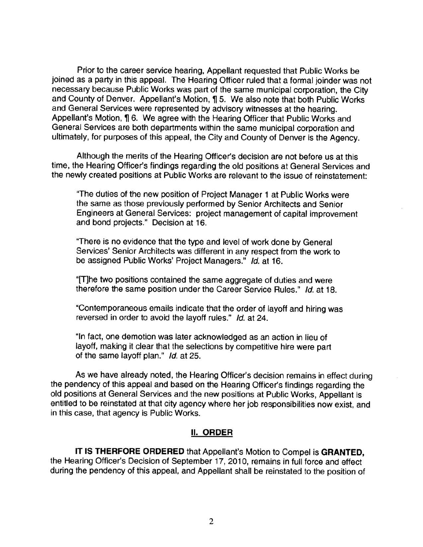Prior to the career service hearing, Appellant requested that Public Works be joined as a party in this appeal. The Hearing Officer ruled that a formal joinder was not necessary because Public Works was part of the same municipal corporation, the City and County of Denver. Appellant's Motion, 15. We also note that both Public Works and General Services were represented by advisory witnesses at the hearing. Appellant's Motion, 16. We agree with the Hearing Officer that Public Works and General Services are both departments within the same municipal corporation and ultimately, for purposes of this appeal, the City and County of Denver is the Agency.

Although the merits of the Hearing Officer's decision are not before us at this time, the Hearing Officer's findings regarding the old positions at General Services and the newly created positions at Public Works are relevant to the issue of reinstatement:

"The duties of the new position of Project Manager 1 at Public Works were the same as those previously performed by Senior Architects and Senior Engineers at General Services: project management of capital improvement and bond projects." Decision at 16.

"There is no evidence that the type and level of work done by General Services' Senior Architects was different in any respect from the work to be assigned Public Works' Project Managers." Id. at 16.

"[T]he two positions contained the same aggregate of duties and were therefore the same position under the Career Service Rules." Id. at 18.

"Contemporaneous emails indicate that the order of layoff and hiring was reversed in order to avoid the layoff rules." Id. at 24.

"In fact, one demotion was later acknowledged as an action in lieu of layoff, making it clear that the selections by competitive hire were part of the same layoff plan." Id. at 25.

As we have already noted, the Hearing Officer's decision remains in effect during the pendency of this appeal and based on the Hearing Officer's findings regarding the old positions at General Services and the new positions at Public Works, Appellant is entitled to be reinstated at that city agency where her job responsibilities now exist, and in this case, that agency is Public Works.

### II. **ORDER**

**IT IS THERFORE ORDERED** that Appellant's Motion to Compel is **GRANTED,**  the Hearing Officer's Decision of September 17, 2010, remains in full force and effect during the pendency of this appeal, and Appellant shall be reinstated to the position of